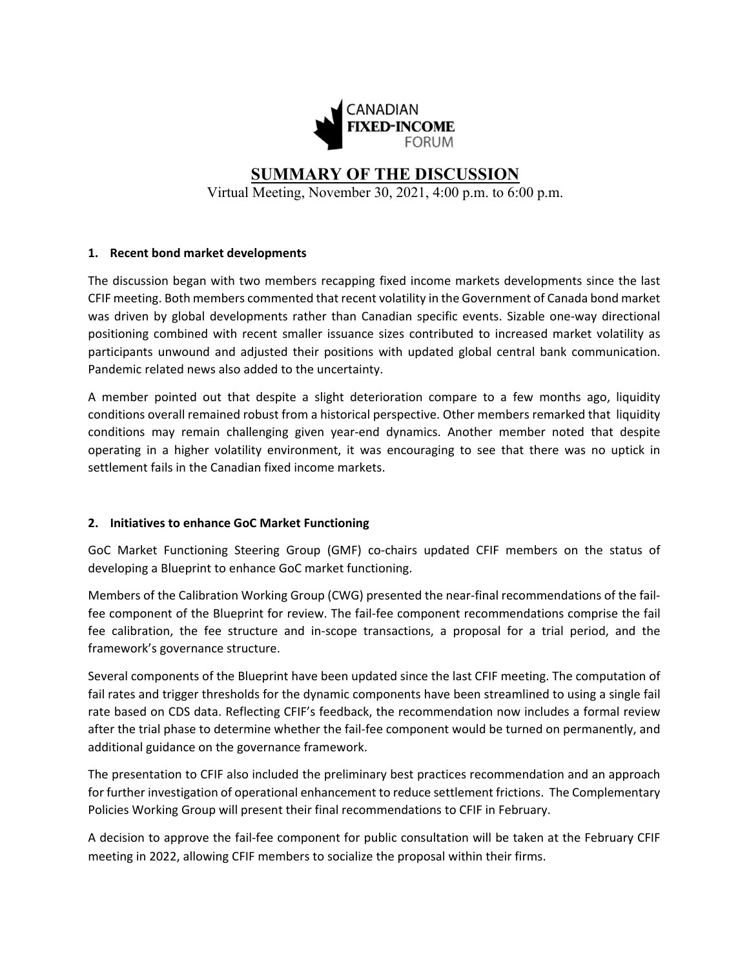

# **SUMMARY OF THE DISCUSSION**

Virtual Meeting, November 30, 2021, 4:00 p.m. to 6:00 p.m.

# **1. Recent bond market developments**

The discussion began with two members recapping fixed income markets developments since the last CFIF meeting. Both members commented that recent volatility in the Government of Canada bond market was driven by global developments rather than Canadian specific events. Sizable one-way directional positioning combined with recent smaller issuance sizes contributed to increased market volatility as participants unwound and adjusted their positions with updated global central bank communication. Pandemic related news also added to the uncertainty.

A member pointed out that despite a slight deterioration compare to a few months ago, liquidity conditions overall remained robust from a historical perspective. Other members remarked that liquidity conditions may remain challenging given year-end dynamics. Another member noted that despite operating in a higher volatility environment, it was encouraging to see that there was no uptick in settlement fails in the Canadian fixed income markets.

# **2. Initiatives to enhance GoC Market Functioning**

GoC Market Functioning Steering Group (GMF) co-chairs updated CFIF members on the status of developing a Blueprint to enhance GoC market functioning.

Members of the Calibration Working Group (CWG) presented the near-final recommendations of the failfee component of the Blueprint for review. The fail-fee component recommendations comprise the fail fee calibration, the fee structure and in-scope transactions, a proposal for a trial period, and the framework's governance structure.

Several components of the Blueprint have been updated since the last CFIF meeting. The computation of fail rates and trigger thresholds for the dynamic components have been streamlined to using a single fail rate based on CDS data. Reflecting CFIF's feedback, the recommendation now includes a formal review after the trial phase to determine whether the fail-fee component would be turned on permanently, and additional guidance on the governance framework.

The presentation to CFIF also included the preliminary best practices recommendation and an approach for further investigation of operational enhancement to reduce settlement frictions. The Complementary Policies Working Group will present their final recommendations to CFIF in February.

A decision to approve the fail-fee component for public consultation will be taken at the February CFIF meeting in 2022, allowing CFIF members to socialize the proposal within their firms.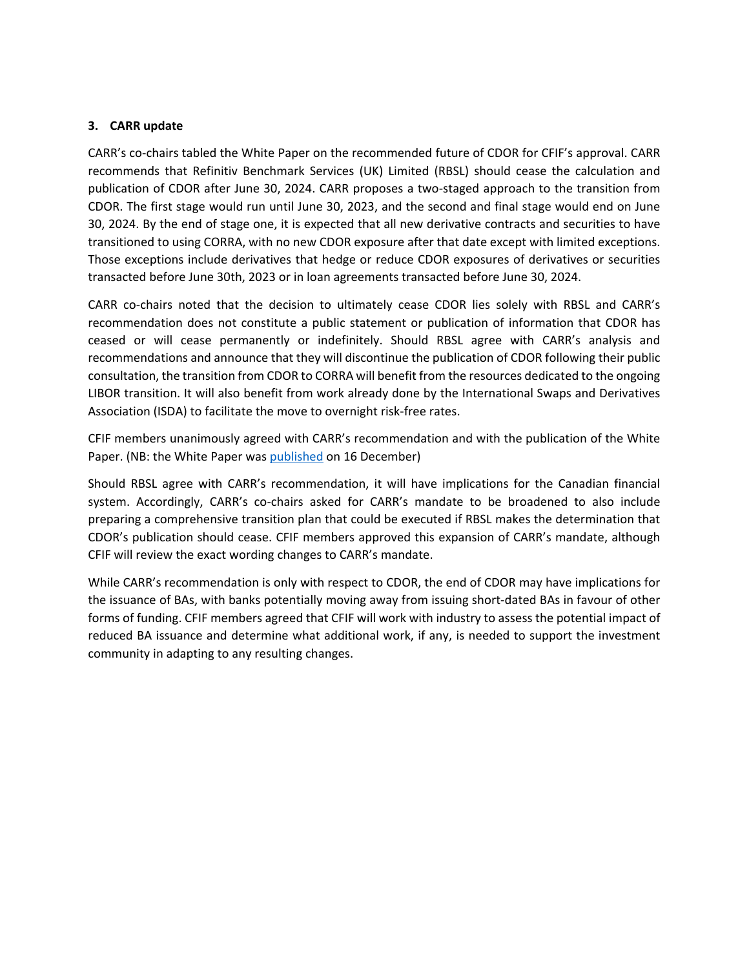## **3. CARR update**

CARR's co-chairs tabled the White Paper on the recommended future of CDOR for CFIF's approval. CARR recommends that Refinitiv Benchmark Services (UK) Limited (RBSL) should cease the calculation and publication of CDOR after June 30, 2024. CARR proposes a two-staged approach to the transition from CDOR. The first stage would run until June 30, 2023, and the second and final stage would end on June 30, 2024. By the end of stage one, it is expected that all new derivative contracts and securities to have transitioned to using CORRA, with no new CDOR exposure after that date except with limited exceptions. Those exceptions include derivatives that hedge or reduce CDOR exposures of derivatives or securities transacted before June 30th, 2023 or in loan agreements transacted before June 30, 2024.

CARR co-chairs noted that the decision to ultimately cease CDOR lies solely with RBSL and CARR's recommendation does not constitute a public statement or publication of information that CDOR has ceased or will cease permanently or indefinitely. Should RBSL agree with CARR's analysis and recommendations and announce that they will discontinue the publication of CDOR following their public consultation, the transition from CDOR to CORRA will benefit from the resources dedicated to the ongoing LIBOR transition. It will also benefit from work already done by the International Swaps and Derivatives Association (ISDA) to facilitate the move to overnight risk-free rates.

CFIF members unanimously agreed with CARR's recommendation and with the publication of the White Paper. (NB: the White Paper was [published](https://www.bankofcanada.ca/2021/12/carr-publishes-white-paper-recommended-future-cdor/) on 16 December)

Should RBSL agree with CARR's recommendation, it will have implications for the Canadian financial system. Accordingly, CARR's co-chairs asked for CARR's mandate to be broadened to also include preparing a comprehensive transition plan that could be executed if RBSL makes the determination that CDOR's publication should cease. CFIF members approved this expansion of CARR's mandate, although CFIF will review the exact wording changes to CARR's mandate.

While CARR's recommendation is only with respect to CDOR, the end of CDOR may have implications for the issuance of BAs, with banks potentially moving away from issuing short-dated BAs in favour of other forms of funding. CFIF members agreed that CFIF will work with industry to assess the potential impact of reduced BA issuance and determine what additional work, if any, is needed to support the investment community in adapting to any resulting changes.